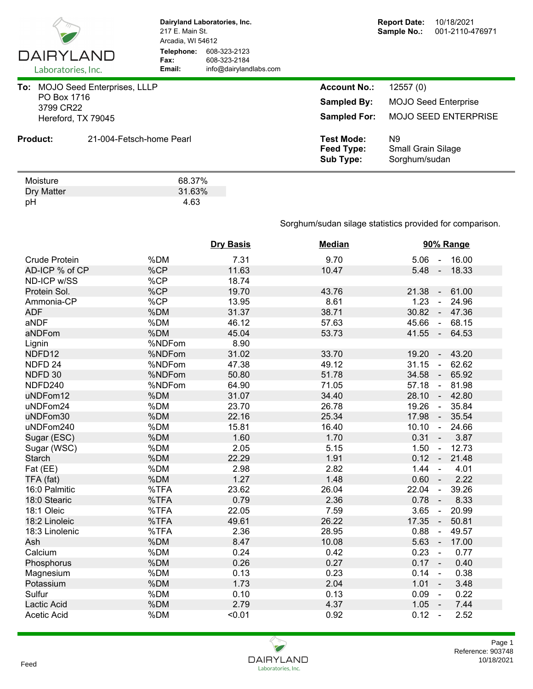

Dry Matter 31.63%<br>pH 31.63 pH 4.63

**Dairyland Laboratories, Inc.** 217 E. Main St. Arcadia, WI 54612 **Telephone:** 608-323-2123 **Fax:** 608-323-2184<br> **Email:** info@dairyland **Email:** info@dairylandlabs.com

| To:                      | <b>MOJO Seed Enterprises, LLLP</b> | <b>Account No.:</b>                                 | 12557(0)                                         |
|--------------------------|------------------------------------|-----------------------------------------------------|--------------------------------------------------|
| PO Box 1716<br>3799 CR22 |                                    | <b>Sampled By:</b>                                  | <b>MOJO Seed Enterprise</b>                      |
|                          | Hereford, TX 79045                 | <b>Sampled For:</b>                                 | <b>MOJO SEED ENTERPRISE</b>                      |
| <b>Product:</b>          | 21-004-Fetsch-home Pearl           | <b>Test Mode:</b><br>Feed Type:<br><b>Sub Type:</b> | N9<br><b>Small Grain Silage</b><br>Sorghum/sudan |
| Moisture                 | 68.37%                             |                                                     |                                                  |

Sorghum/sudan silage statistics provided for comparison.

|                      |        | <b>Dry Basis</b> | <b>Median</b> | 90% Range                        |
|----------------------|--------|------------------|---------------|----------------------------------|
| <b>Crude Protein</b> | %DM    | 7.31             | 9.70          | $5.06 - 16.00$                   |
| AD-ICP % of CP       | %CP    | 11.63            | 10.47         | $5.48 -$<br>18.33                |
| ND-ICP w/SS          | %CP    | 18.74            |               |                                  |
| Protein Sol.         | %CP    | 19.70            | 43.76         | 61.00<br>21.38<br>$\sim$         |
| Ammonia-CP           | %CP    | 13.95            | 8.61          | 1.23<br>24.96<br>$\blacksquare$  |
| <b>ADF</b>           | %DM    | 31.37            | 38.71         | 30.82<br>47.36<br>$\blacksquare$ |
| aNDF                 | %DM    | 46.12            | 57.63         | 45.66<br>68.15<br>$\sim$         |
| aNDFom               | %DM    | 45.04            | 53.73         | $41.55 -$<br>64.53               |
| Lignin               | %NDFom | 8.90             |               |                                  |
| NDFD12               | %NDFom | 31.02            | 33.70         | 43.20<br>19.20<br>$\blacksquare$ |
| NDFD <sub>24</sub>   | %NDFom | 47.38            | 49.12         | 31.15<br>62.62<br>$\blacksquare$ |
| NDFD 30              | %NDFom | 50.80            | 51.78         | 34.58<br>65.92<br>$\sim$         |
| NDFD240              | %NDFom | 64.90            | 71.05         | 57.18<br>81.98<br>$\blacksquare$ |
| uNDFom12             | %DM    | 31.07            | 34.40         | 28.10<br>42.80<br>$\sim$         |
| uNDFom24             | %DM    | 23.70            | 26.78         | 19.26<br>35.84<br>$\sim$         |
| uNDFom30             | %DM    | 22.16            | 25.34         | 17.98<br>35.54<br>$\sim$         |
| uNDFom240            | %DM    | 15.81            | 16.40         | 10.10<br>24.66<br>$\sim$         |
| Sugar (ESC)          | %DM    | 1.60             | 1.70          | $0.31 -$<br>3.87                 |
| Sugar (WSC)          | %DM    | 2.05             | 5.15          | 12.73<br>1.50<br>$\sim$          |
| <b>Starch</b>        | %DM    | 22.29            | 1.91          | $0.12 -$<br>21.48                |
| Fat (EE)             | %DM    | 2.98             | 2.82          | 1.44<br>4.01<br>$\blacksquare$   |
| TFA (fat)            | %DM    | 1.27             | 1.48          | 0.60<br>2.22                     |
| 16:0 Palmitic        | %TFA   | 23.62            | 26.04         | 22.04<br>39.26<br>$\blacksquare$ |
| 18:0 Stearic         | %TFA   | 0.79             | 2.36          | 0.78<br>8.33<br>$\blacksquare$   |
| 18:1 Oleic           | %TFA   | 22.05            | 7.59          | 3.65<br>20.99<br>$\blacksquare$  |
| 18:2 Linoleic        | %TFA   | 49.61            | 26.22         | 17.35<br>50.81<br>$\blacksquare$ |
| 18:3 Linolenic       | %TFA   | 2.36             | 28.95         | 0.88<br>49.57<br>$\blacksquare$  |
| Ash                  | %DM    | 8.47             | 10.08         | 5.63<br>17.00<br>$\sim$          |
| Calcium              | %DM    | 0.24             | 0.42          | 0.23<br>0.77<br>$\sim$           |
| Phosphorus           | %DM    | 0.26             | 0.27          | 0.17<br>0.40<br>$\sim$ $\sim$    |
| Magnesium            | %DM    | 0.13             | 0.23          | 0.14<br>0.38<br>$\sim$           |
| Potassium            | %DM    | 1.73             | 2.04          | 1.01<br>3.48<br>$\sim$           |
| Sulfur               | %DM    | 0.10             | 0.13          | 0.09<br>0.22<br>$\sim$           |
| Lactic Acid          | %DM    | 2.79             | 4.37          | $1.05 -$<br>7.44                 |
| <b>Acetic Acid</b>   | %DM    | < 0.01           | 0.92          | 0.12<br>2.52<br>$\sim$           |